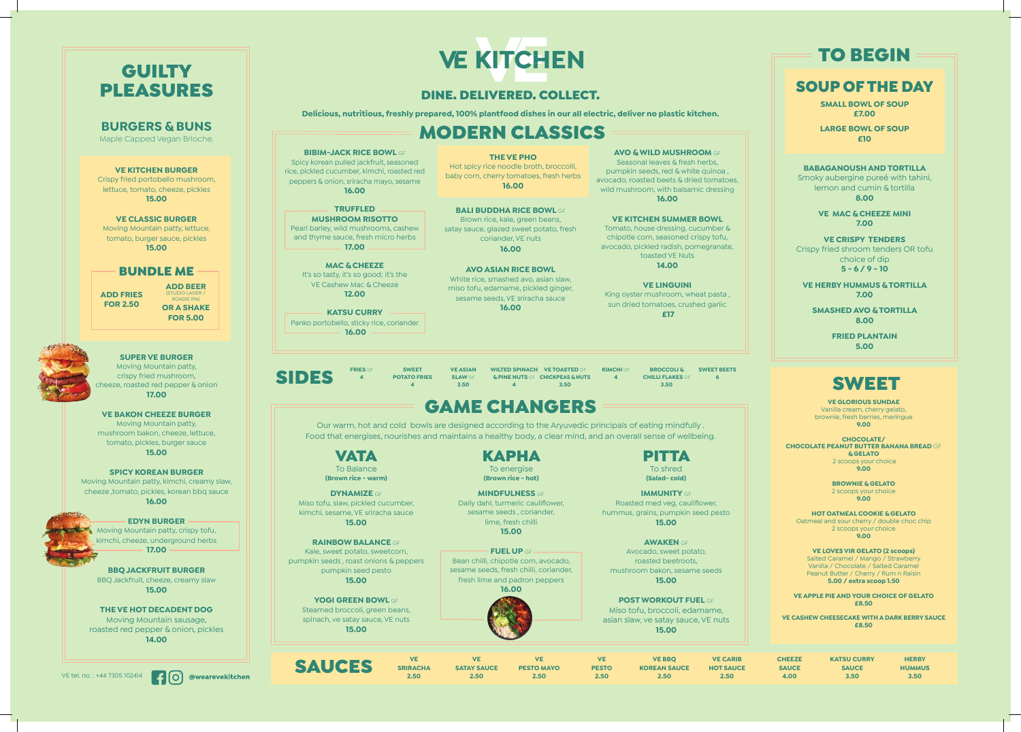### DINE. DELIVERED. COLLECT.

**Delicious, nutritious, freshly prepared, 100% plantfood dishes in our all electric, deliver no plastic kitchen.**

#### **VE SRIRACHA 2.50**

| <b>SAUCES</b> | <b>SRIRACHA</b> | <b>SATAY SAUCE</b> | <b>PESTO MAYO</b> | VE<br><b>PESTO</b> | <b>VE BBO</b><br><b>KOREAN SAUCE</b> | <b>VE CARIB</b><br><b>HOT SAUCE</b> | <b>CHEEZE</b><br><b>SAUCE</b> | <b>KATSU CURRY</b><br><b>SAUCE</b> | <b>HERBY</b><br><b>IUMMUS</b> |
|---------------|-----------------|--------------------|-------------------|--------------------|--------------------------------------|-------------------------------------|-------------------------------|------------------------------------|-------------------------------|
|               | 2.50            | 2.50 <sub>°</sub>  | 2.50              | 2.50               | 2.50                                 | 2.50 <sup>°</sup>                   | 4.00                          | 3.50                               | 3.50                          |

PITTA To shred **(Salad- cold)**

**IMMUNITY** GF Roasted med veg, cauliflower, hummus, grains, pumpkin seed pesto **15.00**

#### **AWAKEN** GF

Avocado, sweet potato, roasted beetroots, mushroom bakon, sesame seeds **15.00**

#### **POST WORKOUT FUEL** GF Miso tofu, broccoli, edamame, asian slaw, ve satay sauce, VE nuts **15.00**



To Balance **(Brown rice - warm)**

#### **DYNAMIZE** GF

Miso tofu, slaw, pickled cucumber, kimchi, sesame, VE sriracha sauce **15.00**

**FRIES G 4**

#### **RAINBOW BALANCE** GF Kale, sweet potato, sweetcorn, pumpkin seeds , roast onions & peppers

pumpkin seed pesto **15.00**

**YOGI GREEN BOWL** GF Steamed broccoli, green beans, spinach, ve satay sauce, VE nuts **15.00**

# GAME CHANGERS

Our warm, hot and cold bowls are designed according to the Aryuvedic principals of eating mindfully . Food that energises, nourishes and maintains a healthy body, a clear mind, and an overall sense of wellbeing.

> KAPHA To energise **(Brown rice - hot)**

**MINDFULNESS** GF Daily dahl, turmeric cauliflower, sesame seeds , coriander, lime, fresh chilli **15.00**

**FUEL UP** GF Bean chilli, chipotle corn, avocado, sesame seeds, fresh chilli, coriander, fresh lime and padron peppers **16.00**



Seasonal leaves & fresh herbs, pumpkin seeds, red & white quinoa , avocado, roasted beets & dried tomatoes, wild mushroom, with balsamic dressing **16.00** 

**SWEET POTATO FRIES 4 VE ASIAN SLAW** GF

**3.50**

**WILTED SPINACH VE TOASTED** GF **& PINE NUTS** GF **CHICKPEAS & NUTS 4**

King oyster mushroom, wheat pasta sun dried tomatoes, crushed garlic  **£17**

**BROCCOLI & CHILLI FLAKES** GF **3.50**

**3.50 KIMCHI** GF **4 SWEET BEETS** SIDES **<sup>6</sup>**

> **VE GLORIOUS SUNDAE** Vanilla cream, cherry gelato, brownie, fresh berries, meringue **9.00**

# **GUILTY** PLEASURES

**CHOCOLATE/ CHOCOLATE PEANUT BUTTER BANANA BREAD** GF **& GELATO** 2 scoops your choice

**9.00**

**BROWNIE & GELATO** 2 scoops your choice **9.00**

**HOT OATMEAL COOKIE & GELATO** Oatmeal and sour cherry / double choc chip 2 scoops your choice **9.00**

**VE LOVES VIR GELATO (2 scoops)** Salted Caramel / Mango / Strawberry Vanilla / Chocolate / Salted Caramel Peanut Butter / Cherry / Rum n Raisin **5.00 / extra scoop 1.50** 

**VE APPLE PIE AND YOUR CHOICE OF GELATO £8.50**

**VE CASHEW CHEESECAKE WITH A DARK BERRY SAUCE £8.50**

# SWEET

## SOUP OF THE DAY

**SMALL BOWL OF SOUP £7.00**

**LARGE BOWL OF SOUP £10**

**BABAGANOUSH AND TORTILLA** Smoky aubergine pureé with tahini, lemon and cumin & tortilla **8.00**

> **VE MAC & CHEEZE MINI 7.00**

**VE CRISPY TENDERS** Crispy fried shroom tenders OR tofu choice of dip **5 - 6 / 9 - 10**

**VE HERBY HUMMUS & TORTILLA 7.00**

**SMASHED AVO & TORTILLA 8.00**

> **FRIED PLANTAIN 5.00**

# TO BEGIN

#### **THE VE PHO** Hot spicy rice noodle broth, broccolli, baby corn, cherry tomatoes, fresh herbs **16.00**

#### **AVO & WILD MUSHROOM** GF

#### **VE KITCHEN SUMMER BOWL**

Tomato, house dressing, cucumber & chipotle corn, seasoned crispy tofu, avocado, pickled radish, pomegranate, toasted VE Nuts **14.00**

#### **VE LINGUINI**

#### **BIBIM-JACK RICE BOWL** GF Spicy korean pulled jackfruit, seasoned rice, pickled cucumber, kimchi, roasted red peppers & onion, sriracha mayo, sesame **16.00**

## **TRUFFLED**

**MUSHROOM RISOTTO** Pearl barley, wild mushrooms, cashew and thyme sauce, fresh micro herbs **17.00**

**MAC & CHEEZE** It's so tasty, it's so good; it's the VE Cashew Mac & Cheeze **12.00**

**KATSU CURRY** Panko portobello, sticky rice, coriander  **16.00**

# MODERN CLASSICS

## **BURGERS & BUNS**

Maple Capped Vegan Brioche.

#### **VE KITCHEN BURGER**

Crispy fried portobello mushroom, lettuce, tomato, cheeze, pickles **15.00**

**VE CLASSIC BURGER** Moving Mountain patty, lettuce, tomato, burger sauce, pickles **15.00**

#### BUNDLE ME

#### **SUPER VE BURGER** Moving Mountain patty,

crispy fried mushroom, cheeze, roasted red pepper & onion **17.00**

#### **VE BAKON CHEEZE BURGER**

Moving Mountain patty, mushroom bakon, cheeze, lettuce, tomato, pickles, burger sauce **15.00**

#### **SPICY KOREAN BURGER** Moving Mountain patty, kimchi, creamy slaw, cheeze ,tomato, pickles, korean bbq sauce **16.00**

#### **EDYN BURGER**

Moving Mountain patty, crispy tofu, kimchi, cheeze, underground herbs **17.00**

#### **BBQ JACKFRUIT BURGER** BBQ Jackfruit, cheeze, creamy slaw **15.00**

**THE VE HOT DECADENT DOG** Moving Mountain sausage, roasted red pepper & onion, pickles **14.00**

**ADD BEER**  (STUDIO LAGER / ROADIE IPA) **OR A SHAKE FOR 5.00**



**ADD FRIES FOR 2.50**





# **VE KITCHEN**

**BALI BUDDHA RICE BOWL** GF Brown rice, kale, green beans, satay sauce, glazed sweet potato, fresh

coriander, VE nuts **16.00**

**AVO ASIAN RICE BOWL** White rice, smashed avo, asian slaw, miso tofu, edamame, pickled ginger, sesame seeds, VE sriracha sauce **16.00**